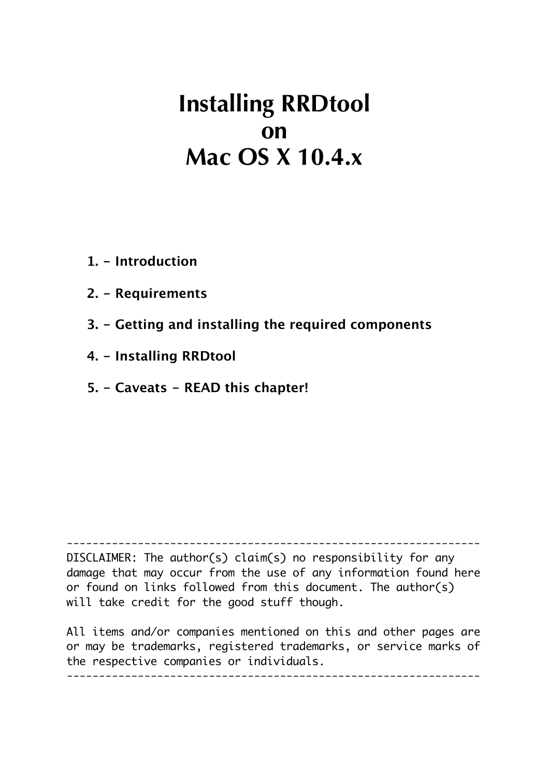# **Installing RRDtool on Mac OS X 10.4.x**

- **1. Introduction**
- **2. Requirements**
- **3. Getting and installing the required components**
- **4. Installing RRDtool**
- **5. Caveats READ this chapter!**

 $-$ 

DISCLAIMER: The author(s) claim(s) no responsibility for any damage that may occur from the use of any information found here or found on links followed from this document. The author(s) will take credit for the good stuff though.

All items and/or companies mentioned on this and other pages are or may be trademarks, registered trademarks, or service marks of the respective companies or individuals.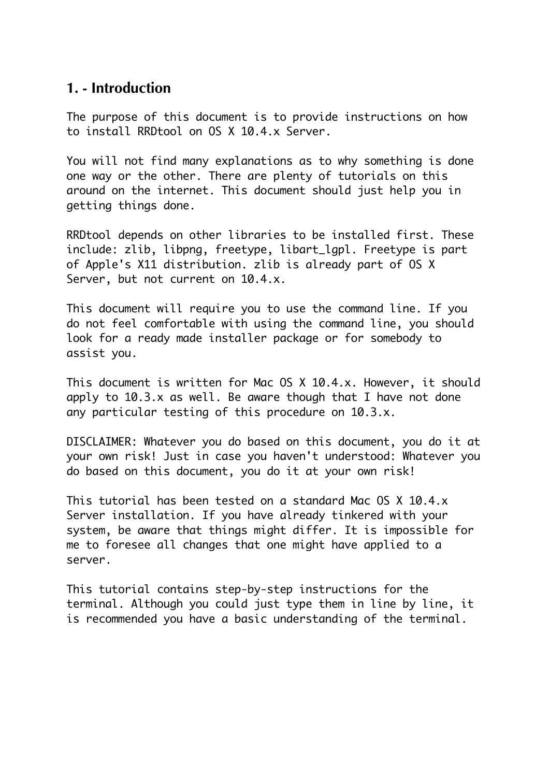#### **1. - Introduction**

The purpose of this document is to provide instructions on how to install RRDtool on OS X 10.4.x Server.

You will not find many explanations as to why something is done one way or the other. There are plenty of tutorials on this around on the internet. This document should just help you in getting things done.

RRDtool depends on other libraries to be installed first. These include: zlib, libpng, freetype, libart\_lgpl. Freetype is part of Apple's X11 distribution. zlib is already part of OS X Server, but not current on 10.4.x.

This document will require you to use the command line. If you do not feel comfortable with using the command line, you should look for a ready made installer package or for somebody to assist you.

This document is written for Mac OS X 10.4.x. However, it should apply to 10.3.x as well. Be aware though that I have not done any particular testing of this procedure on 10.3.x.

DISCLAIMER: Whatever you do based on this document, you do it at your own risk! Just in case you haven't understood: Whatever you do based on this document, you do it at your own risk!

This tutorial has been tested on a standard Mac OS X 10.4.x Server installation. If you have already tinkered with your system, be aware that things might differ. It is impossible for me to foresee all changes that one might have applied to a server.

This tutorial contains step-by-step instructions for the terminal. Although you could just type them in line by line, it is recommended you have a basic understanding of the terminal.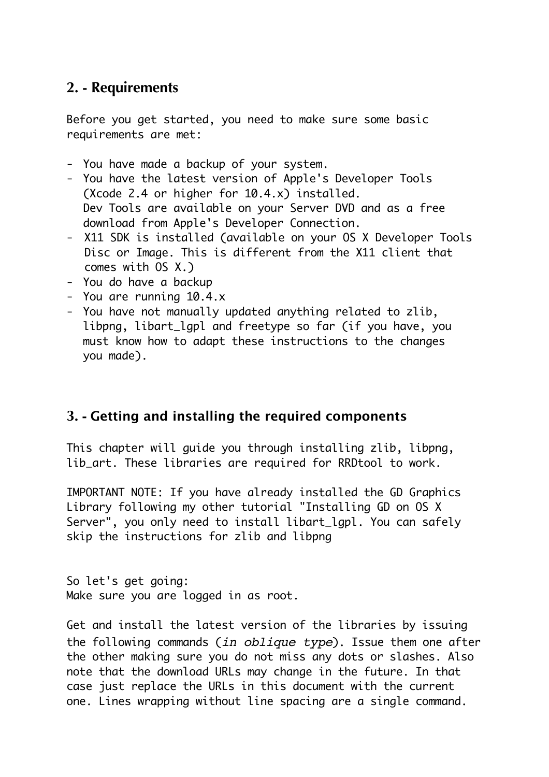## **2. - Requirements**

Before you get started, you need to make sure some basic requirements are met:

- You have made a backup of your system.
- You have the latest version of Apple's Developer Tools (Xcode 2.4 or higher for 10.4.x) installed. Dev Tools are available on your Server DVD and as a free download from Apple's Developer Connection.
- X11 SDK is installed (available on your OS X Developer Tools Disc or Image. This is different from the X11 client that comes with OS X.)
- You do have a backup
- You are running 10.4.x
- You have not manually updated anything related to zlib, libpng, libart\_lgpl and freetype so far (if you have, you must know how to adapt these instructions to the changes you made).

### **3. - Getting and installing the required components**

This chapter will guide you through installing zlib, libpng, lib\_art. These libraries are required for RRDtool to work.

IMPORTANT NOTE: If you have already installed the GD Graphics Library following my other tutorial "Installing GD on OS X Server", you only need to install libart\_lgpl. You can safely skip the instructions for zlib and libpng

So let's get going: Make sure you are logged in as root.

Get and install the latest version of the libraries by issuing the following commands (*in oblique type*). Issue them one after the other making sure you do not miss any dots or slashes. Also note that the download URLs may change in the future. In that case just replace the URLs in this document with the current one. Lines wrapping without line spacing are a single command.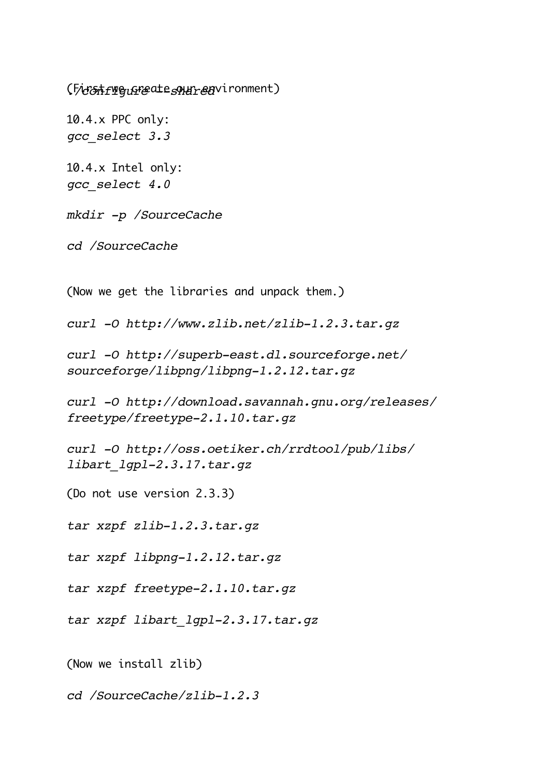(F*icsitf werd te syndreav*ironment)

10.4.x PPC only: *gcc\_select 3.3*

10.4.x Intel only: *gcc\_select 4.0*

*mkdir -p /SourceCache*

*cd /SourceCache*

(Now we get the libraries and unpack them.)

*curl -O http://www.zlib.net/zlib-1.2.3.tar.gz*

*curl -O http://superb-east.dl.sourceforge.net/ sourceforge/libpng/libpng-1.2.12.tar.gz*

*curl -O http://download.savannah.gnu.org/releases/ freetype/freetype-2.1.10.tar.gz*

*curl -O http://oss.oetiker.ch/rrdtool/pub/libs/ libart\_lgpl-2.3.17.tar.gz*

(Do not use version 2.3.3)

*tar xzpf zlib-1.2.3.tar.gz*

*tar xzpf libpng-1.2.12.tar.gz*

*tar xzpf freetype-2.1.10.tar.gz*

*tar xzpf libart\_lgpl-2.3.17.tar.gz*

(Now we install zlib)

*cd /SourceCache/zlib-1.2.3*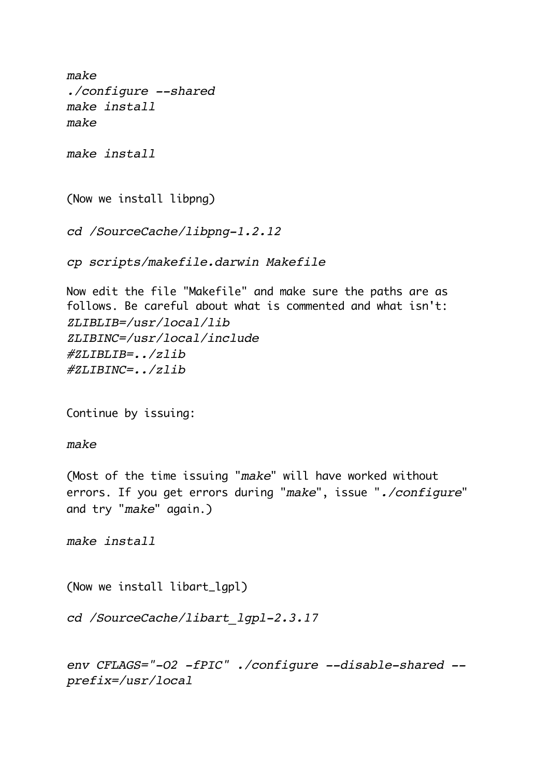*./configure --shared make make make install*

*make install*

(Now we install libpng)

*cd /SourceCache/libpng-1.2.12*

*cp scripts/makefile.darwin Makefile*

Now edit the file "Makefile" and make sure the paths are as follows. Be careful about what is commented and what isn't: *ZLIBLIB=/usr/local/lib ZLIBINC=/usr/local/include #ZLIBLIB=../zlib #ZLIBINC=../zlib*

Continue by issuing:

*make*

(Most of the time issuing "*make*" will have worked without errors. If you get errors during "*make*", issue "*./configure*" and try "*make*" again.)

*make install*

(Now we install libart\_lgpl)

*cd /SourceCache/libart\_lgpl-2.3.17*

*env CFLAGS="-O2 -fPIC" ./configure --disable-shared - prefix=/usr/local*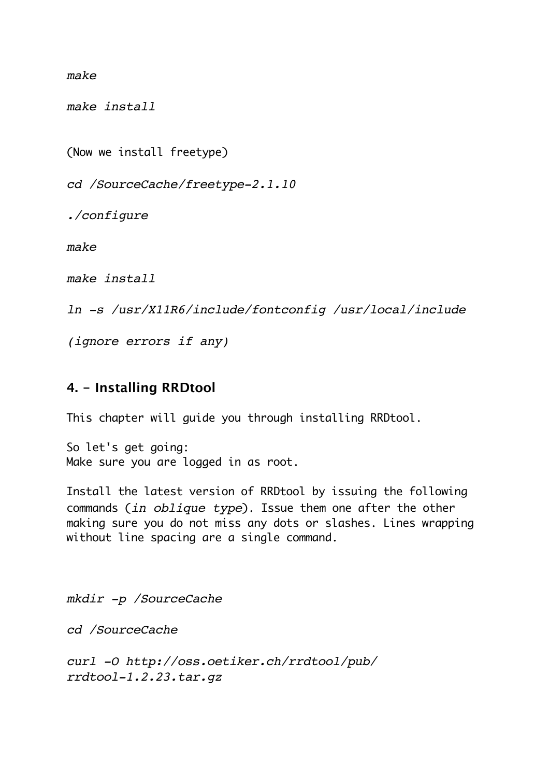*make*

*make install*

(Now we install freetype)

*cd /SourceCache/freetype-2.1.10*

*./configure* 

*make* 

*make install*

*ln -s /usr/X11R6/include/fontconfig /usr/local/include*

*(ignore errors if any)*

#### **4. - Installing RRDtool**

This chapter will guide you through installing RRDtool.

So let's get going: Make sure you are logged in as root.

Install the latest version of RRDtool by issuing the following commands (*in oblique type*). Issue them one after the other making sure you do not miss any dots or slashes. Lines wrapping without line spacing are a single command.

*mkdir -p /SourceCache*

*cd /SourceCache*

*curl -O http://oss.oetiker.ch/rrdtool/pub/ rrdtool-1.2.23.tar.gz*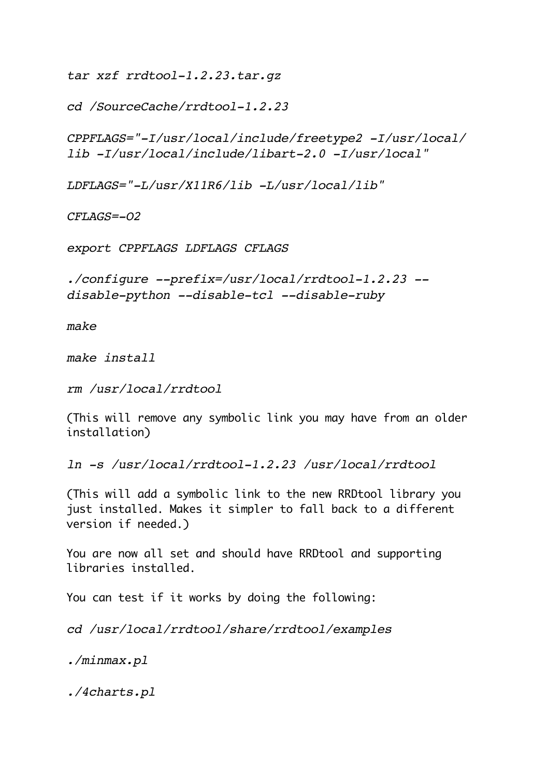*tar xzf rrdtool-1.2.23.tar.gz*

*cd /SourceCache/rrdtool-1.2.23*

*CPPFLAGS="-I/usr/local/include/freetype2 -I/usr/local/ lib -I/usr/local/include/libart-2.0 -I/usr/local"*

*LDFLAGS="-L/usr/X11R6/lib -L/usr/local/lib"*

*CFLAGS=-O2*

*export CPPFLAGS LDFLAGS CFLAGS*

*./configure --prefix=/usr/local/rrdtool-1.2.23 - disable-python --disable-tcl --disable-ruby*

*make*

*make install*

*rm /usr/local/rrdtool*

(This will remove any symbolic link you may have from an older installation)

*ln -s /usr/local/rrdtool-1.2.23 /usr/local/rrdtool*

(This will add a symbolic link to the new RRDtool library you just installed. Makes it simpler to fall back to a different version if needed.)

You are now all set and should have RRDtool and supporting libraries installed.

You can test if it works by doing the following:

*cd /usr/local/rrdtool/share/rrdtool/examples*

*./minmax.pl*

*./4charts.pl*